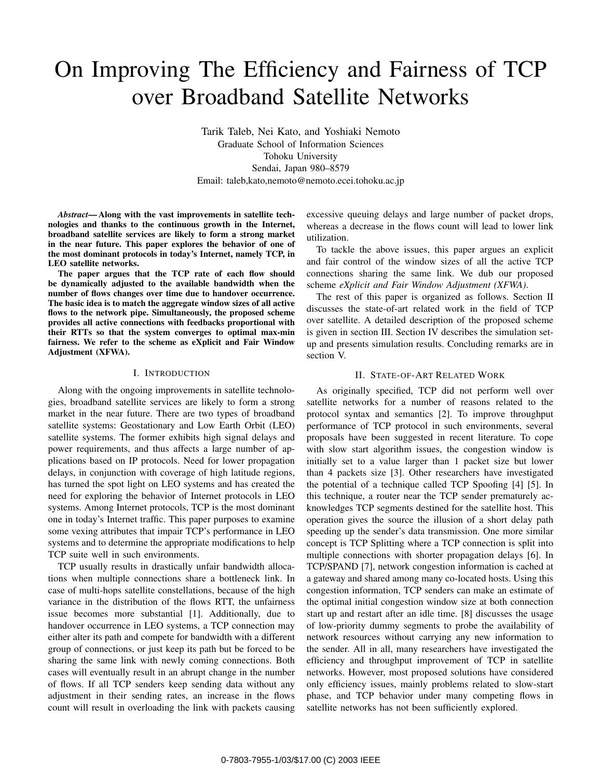# On Improving The Efficiency and Fairness of TCP over Broadband Satellite Networks

Tarik Taleb, Nei Kato, and Yoshiaki Nemoto Graduate School of Information Sciences Tohoku University Sendai, Japan 980–8579 Email: taleb,kato,nemoto@nemoto.ecei.tohoku.ac.jp

*Abstract***— Along with the vast improvements in satellite technologies and thanks to the continuous growth in the Internet, broadband satellite services are likely to form a strong market in the near future. This paper explores the behavior of one of the most dominant protocols in today's Internet, namely TCP, in LEO satellite networks.**

**The paper argues that the TCP rate of each flow should be dynamically adjusted to the available bandwidth when the number of flows changes over time due to handover occurrence. The basic idea is to match the aggregate window sizes of all active flows to the network pipe. Simultaneously, the proposed scheme provides all active connections with feedbacks proportional with their RTTs so that the system converges to optimal max-min fairness. We refer to the scheme as eXplicit and Fair Window Adjustment (XFWA).**

### I. INTRODUCTION

Along with the ongoing improvements in satellite technologies, broadband satellite services are likely to form a strong market in the near future. There are two types of broadband satellite systems: Geostationary and Low Earth Orbit (LEO) satellite systems. The former exhibits high signal delays and power requirements, and thus affects a large number of applications based on IP protocols. Need for lower propagation delays, in conjunction with coverage of high latitude regions, has turned the spot light on LEO systems and has created the need for exploring the behavior of Internet protocols in LEO systems. Among Internet protocols, TCP is the most dominant one in today's Internet traffic. This paper purposes to examine some vexing attributes that impair TCP's performance in LEO systems and to determine the appropriate modifications to help TCP suite well in such environments.

TCP usually results in drastically unfair bandwidth allocations when multiple connections share a bottleneck link. In case of multi-hops satellite constellations, because of the high variance in the distribution of the flows RTT, the unfairness issue becomes more substantial [1]. Additionally, due to handover occurrence in LEO systems, a TCP connection may either alter its path and compete for bandwidth with a different group of connections, or just keep its path but be forced to be sharing the same link with newly coming connections. Both cases will eventually result in an abrupt change in the number of flows. If all TCP senders keep sending data without any adjustment in their sending rates, an increase in the flows count will result in overloading the link with packets causing excessive queuing delays and large number of packet drops, whereas a decrease in the flows count will lead to lower link utilization.

To tackle the above issues, this paper argues an explicit and fair control of the window sizes of all the active TCP connections sharing the same link. We dub our proposed scheme *eXplicit and Fair Window Adjustment (XFWA)*.

The rest of this paper is organized as follows. Section II discusses the state-of-art related work in the field of TCP over satellite. A detailed description of the proposed scheme is given in section III. Section IV describes the simulation setup and presents simulation results. Concluding remarks are in section V.

### II. STATE-OF-ART RELATED WORK

As originally specified, TCP did not perform well over satellite networks for a number of reasons related to the protocol syntax and semantics [2]. To improve throughput performance of TCP protocol in such environments, several proposals have been suggested in recent literature. To cope with slow start algorithm issues, the congestion window is initially set to a value larger than 1 packet size but lower than 4 packets size [3]. Other researchers have investigated the potential of a technique called TCP Spoofing [4] [5]. In this technique, a router near the TCP sender prematurely acknowledges TCP segments destined for the satellite host. This operation gives the source the illusion of a short delay path speeding up the sender's data transmission. One more similar concept is TCP Splitting where a TCP connection is split into multiple connections with shorter propagation delays [6]. In TCP/SPAND [7], network congestion information is cached at a gateway and shared among many co-located hosts. Using this congestion information, TCP senders can make an estimate of the optimal initial congestion window size at both connection start up and restart after an idle time. [8] discusses the usage of low-priority dummy segments to probe the availability of network resources without carrying any new information to the sender. All in all, many researchers have investigated the efficiency and throughput improvement of TCP in satellite networks. However, most proposed solutions have considered only efficiency issues, mainly problems related to slow-start phase, and TCP behavior under many competing flows in satellite networks has not been sufficiently explored.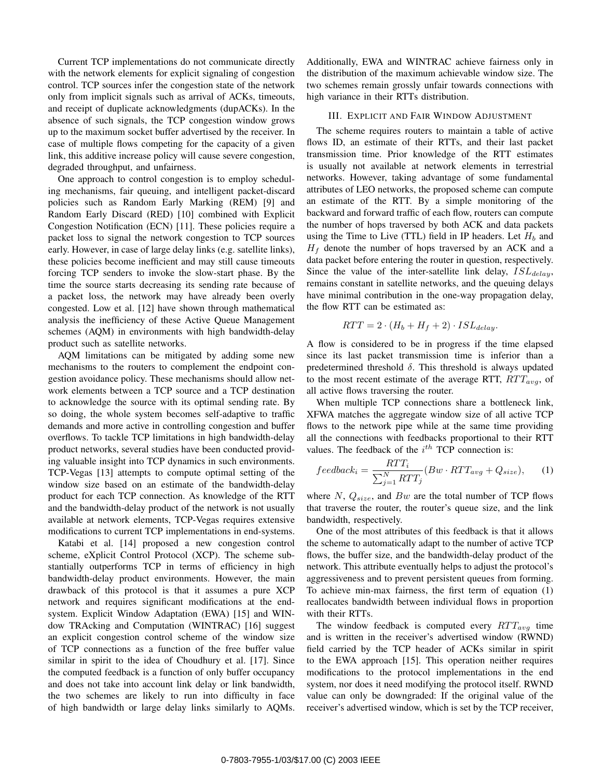Current TCP implementations do not communicate directly with the network elements for explicit signaling of congestion control. TCP sources infer the congestion state of the network only from implicit signals such as arrival of ACKs, timeouts, and receipt of duplicate acknowledgments (dupACKs). In the absence of such signals, the TCP congestion window grows up to the maximum socket buffer advertised by the receiver. In case of multiple flows competing for the capacity of a given link, this additive increase policy will cause severe congestion, degraded throughput, and unfairness.

One approach to control congestion is to employ scheduling mechanisms, fair queuing, and intelligent packet-discard policies such as Random Early Marking (REM) [9] and Random Early Discard (RED) [10] combined with Explicit Congestion Notification (ECN) [11]. These policies require a packet loss to signal the network congestion to TCP sources early. However, in case of large delay links (e.g. satellite links), these policies become inefficient and may still cause timeouts forcing TCP senders to invoke the slow-start phase. By the time the source starts decreasing its sending rate because of a packet loss, the network may have already been overly congested. Low et al. [12] have shown through mathematical analysis the inefficiency of these Active Queue Management schemes (AQM) in environments with high bandwidth-delay product such as satellite networks.

AQM limitations can be mitigated by adding some new mechanisms to the routers to complement the endpoint congestion avoidance policy. These mechanisms should allow network elements between a TCP source and a TCP destination to acknowledge the source with its optimal sending rate. By so doing, the whole system becomes self-adaptive to traffic demands and more active in controlling congestion and buffer overflows. To tackle TCP limitations in high bandwidth-delay product networks, several studies have been conducted providing valuable insight into TCP dynamics in such environments. TCP-Vegas [13] attempts to compute optimal setting of the window size based on an estimate of the bandwidth-delay product for each TCP connection. As knowledge of the RTT and the bandwidth-delay product of the network is not usually available at network elements, TCP-Vegas requires extensive modifications to current TCP implementations in end-systems.

Katabi et al. [14] proposed a new congestion control scheme, eXplicit Control Protocol (XCP). The scheme substantially outperforms TCP in terms of efficiency in high bandwidth-delay product environments. However, the main drawback of this protocol is that it assumes a pure XCP network and requires significant modifications at the endsystem. Explicit Window Adaptation (EWA) [15] and WINdow TRAcking and Computation (WINTRAC) [16] suggest an explicit congestion control scheme of the window size of TCP connections as a function of the free buffer value similar in spirit to the idea of Choudhury et al. [17]. Since the computed feedback is a function of only buffer occupancy and does not take into account link delay or link bandwidth, the two schemes are likely to run into difficulty in face of high bandwidth or large delay links similarly to AQMs. Additionally, EWA and WINTRAC achieve fairness only in the distribution of the maximum achievable window size. The two schemes remain grossly unfair towards connections with high variance in their RTTs distribution.

#### III. EXPLICIT AND FAIR WINDOW ADJUSTMENT

The scheme requires routers to maintain a table of active flows ID, an estimate of their RTTs, and their last packet transmission time. Prior knowledge of the RTT estimates is usually not available at network elements in terrestrial networks. However, taking advantage of some fundamental attributes of LEO networks, the proposed scheme can compute an estimate of the RTT. By a simple monitoring of the backward and forward traffic of each flow, routers can compute the number of hops traversed by both ACK and data packets using the Time to Live (TTL) field in IP headers. Let  $H_b$  and *H<sup>f</sup>* denote the number of hops traversed by an ACK and a data packet before entering the router in question, respectively. Since the value of the inter-satellite link delay, *ISLdelay*, remains constant in satellite networks, and the queuing delays have minimal contribution in the one-way propagation delay, the flow RTT can be estimated as:

$$
RTT = 2 \cdot (H_b + H_f + 2) \cdot ISL_{delay}.
$$

A flow is considered to be in progress if the time elapsed since its last packet transmission time is inferior than a predetermined threshold *δ*. This threshold is always updated to the most recent estimate of the average RTT, *RT Tavg*, of all active flows traversing the router.

When multiple TCP connections share a bottleneck link, XFWA matches the aggregate window size of all active TCP flows to the network pipe while at the same time providing all the connections with feedbacks proportional to their RTT values. The feedback of the *i th* TCP connection is:

$$
feedback_i = \frac{RTT_i}{\sum_{j=1}^{N} RTT_j} (Bw \cdot RTT_{avg} + Q_{size}), \qquad (1)
$$

where  $N$ ,  $Q_{size}$ , and  $Bw$  are the total number of TCP flows that traverse the router, the router's queue size, and the link bandwidth, respectively.

One of the most attributes of this feedback is that it allows the scheme to automatically adapt to the number of active TCP flows, the buffer size, and the bandwidth-delay product of the network. This attribute eventually helps to adjust the protocol's aggressiveness and to prevent persistent queues from forming. To achieve min-max fairness, the first term of equation (1) reallocates bandwidth between individual flows in proportion with their RTTs.

The window feedback is computed every  $RTT_{avg}$  time and is written in the receiver's advertised window (RWND) field carried by the TCP header of ACKs similar in spirit to the EWA approach [15]. This operation neither requires modifications to the protocol implementations in the end system, nor does it need modifying the protocol itself. RWND value can only be downgraded: If the original value of the receiver's advertised window, which is set by the TCP receiver,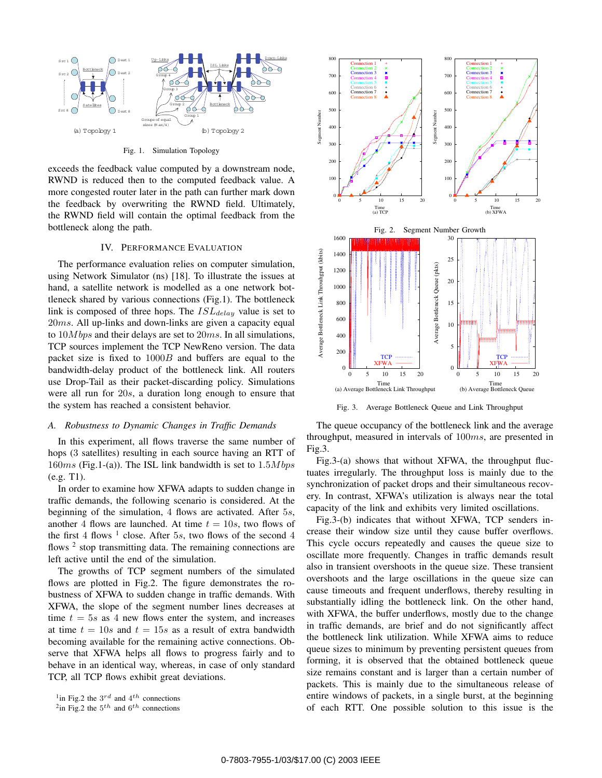

Fig. 1. Simulation Topology

exceeds the feedback value computed by a downstream node, RWND is reduced then to the computed feedback value. A more congested router later in the path can further mark down the feedback by overwriting the RWND field. Ultimately, the RWND field will contain the optimal feedback from the bottleneck along the path.

#### IV. PERFORMANCE EVALUATION

The performance evaluation relies on computer simulation, using Network Simulator (ns) [18]. To illustrate the issues at hand, a satellite network is modelled as a one network bottleneck shared by various connections (Fig.1). The bottleneck link is composed of three hops. The *ISLdelay* value is set to 20*ms*. All up-links and down-links are given a capacity equal to 10*M bps* and their delays are set to 20*ms*. In all simulations, TCP sources implement the TCP NewReno version. The data packet size is fixed to 1000*B* and buffers are equal to the bandwidth-delay product of the bottleneck link. All routers use Drop-Tail as their packet-discarding policy. Simulations were all run for 20*s*, a duration long enough to ensure that the system has reached a consistent behavior.

#### *A. Robustness to Dynamic Changes in Traffic Demands*

In this experiment, all flows traverse the same number of hops (3 satellites) resulting in each source having an RTT of 160*ms* (Fig.1-(a)). The ISL link bandwidth is set to 1*.*5*M bps* (e.g. T1).

In order to examine how XFWA adapts to sudden change in traffic demands, the following scenario is considered. At the beginning of the simulation, 4 flows are activated. After 5*s*, another 4 flows are launched. At time  $t = 10s$ , two flows of the first 4 flows  $<sup>1</sup>$  close. After 5*s*, two flows of the second 4</sup> flows  $2$  stop transmitting data. The remaining connections are left active until the end of the simulation.

The growths of TCP segment numbers of the simulated flows are plotted in Fig.2. The figure demonstrates the robustness of XFWA to sudden change in traffic demands. With XFWA, the slope of the segment number lines decreases at time  $t = 5s$  as 4 new flows enter the system, and increases at time  $t = 10s$  and  $t = 15s$  as a result of extra bandwidth becoming available for the remaining active connections. Observe that XFWA helps all flows to progress fairly and to behave in an identical way, whereas, in case of only standard TCP, all TCP flows exhibit great deviations.



Fig. 3. Average Bottleneck Queue and Link Throughput

The queue occupancy of the bottleneck link and the average throughput, measured in intervals of 100*ms*, are presented in Fig.3.

Fig.3-(a) shows that without XFWA, the throughput fluctuates irregularly. The throughput loss is mainly due to the synchronization of packet drops and their simultaneous recovery. In contrast, XFWA's utilization is always near the total capacity of the link and exhibits very limited oscillations.

Fig.3-(b) indicates that without XFWA, TCP senders increase their window size until they cause buffer overflows. This cycle occurs repeatedly and causes the queue size to oscillate more frequently. Changes in traffic demands result also in transient overshoots in the queue size. These transient overshoots and the large oscillations in the queue size can cause timeouts and frequent underflows, thereby resulting in substantially idling the bottleneck link. On the other hand, with XFWA, the buffer underflows, mostly due to the change in traffic demands, are brief and do not significantly affect the bottleneck link utilization. While XFWA aims to reduce queue sizes to minimum by preventing persistent queues from forming, it is observed that the obtained bottleneck queue size remains constant and is larger than a certain number of packets. This is mainly due to the simultaneous release of entire windows of packets, in a single burst, at the beginning of each RTT. One possible solution to this issue is the

<sup>1</sup>in Fig.2 the 3*rd* and 4*th* connections

 $^{2}$ in Fig.2 the  $5^{th}$  and  $6^{th}$  connections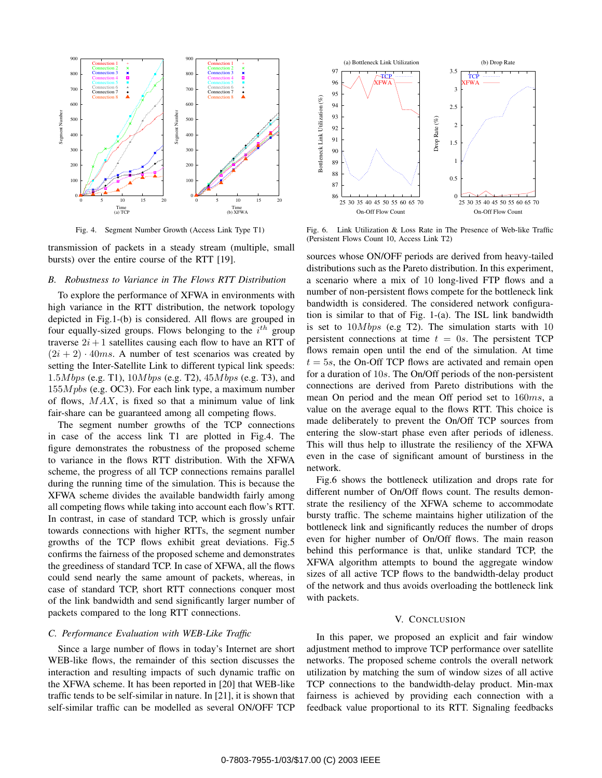

Fig. 4. Segment Number Growth (Access Link Type T1)

transmission of packets in a steady stream (multiple, small bursts) over the entire course of the RTT [19].

#### *B. Robustness to Variance in The Flows RTT Distribution*

To explore the performance of XFWA in environments with high variance in the RTT distribution, the network topology depicted in Fig.1-(b) is considered. All flows are grouped in four equally-sized groups. Flows belonging to the *i th* group traverse  $2i + 1$  satellites causing each flow to have an RTT of  $(2i + 2) \cdot 40ms$ . A number of test scenarios was created by setting the Inter-Satellite Link to different typical link speeds: 1*.*5*M bps* (e.g. T1), 10*M bps* (e.g. T2), 45*M bps* (e.g. T3), and 155*M pbs* (e.g. OC3). For each link type, a maximum number of flows, *MAX*, is fixed so that a minimum value of link fair-share can be guaranteed among all competing flows.

The segment number growths of the TCP connections in case of the access link T1 are plotted in Fig.4. The figure demonstrates the robustness of the proposed scheme to variance in the flows RTT distribution. With the XFWA scheme, the progress of all TCP connections remains parallel during the running time of the simulation. This is because the XFWA scheme divides the available bandwidth fairly among all competing flows while taking into account each flow's RTT. In contrast, in case of standard TCP, which is grossly unfair towards connections with higher RTTs, the segment number growths of the TCP flows exhibit great deviations. Fig.5 confirms the fairness of the proposed scheme and demonstrates the greediness of standard TCP. In case of XFWA, all the flows could send nearly the same amount of packets, whereas, in case of standard TCP, short RTT connections conquer most of the link bandwidth and send significantly larger number of packets compared to the long RTT connections.

## *C. Performance Evaluation with WEB-Like Traffic*

Since a large number of flows in today's Internet are short WEB-like flows, the remainder of this section discusses the interaction and resulting impacts of such dynamic traffic on the XFWA scheme. It has been reported in [20] that WEB-like traffic tends to be self-similar in nature. In [21], it is shown that self-similar traffic can be modelled as several ON/OFF TCP



Fig. 6. Link Utilization & Loss Rate in The Presence of Web-like Traffic (Persistent Flows Count 10, Access Link T2)

sources whose ON/OFF periods are derived from heavy-tailed distributions such as the Pareto distribution. In this experiment, a scenario where a mix of 10 long-lived FTP flows and a number of non-persistent flows compete for the bottleneck link bandwidth is considered. The considered network configuration is similar to that of Fig. 1-(a). The ISL link bandwidth is set to 10*M bps* (e.g T2). The simulation starts with 10 persistent connections at time  $t = 0s$ . The persistent TCP flows remain open until the end of the simulation. At time  $t = 5s$ , the On-Off TCP flows are activated and remain open for a duration of 10*s*. The On/Off periods of the non-persistent connections are derived from Pareto distributions with the mean On period and the mean Off period set to 160*ms*, a value on the average equal to the flows RTT. This choice is made deliberately to prevent the On/Off TCP sources from entering the slow-start phase even after periods of idleness. This will thus help to illustrate the resiliency of the XFWA even in the case of significant amount of burstiness in the network.

Fig.6 shows the bottleneck utilization and drops rate for different number of On/Off flows count. The results demonstrate the resiliency of the XFWA scheme to accommodate bursty traffic. The scheme maintains higher utilization of the bottleneck link and significantly reduces the number of drops even for higher number of On/Off flows. The main reason behind this performance is that, unlike standard TCP, the XFWA algorithm attempts to bound the aggregate window sizes of all active TCP flows to the bandwidth-delay product of the network and thus avoids overloading the bottleneck link with packets.

#### V. CONCLUSION

In this paper, we proposed an explicit and fair window adjustment method to improve TCP performance over satellite networks. The proposed scheme controls the overall network utilization by matching the sum of window sizes of all active TCP connections to the bandwidth-delay product. Min-max fairness is achieved by providing each connection with a feedback value proportional to its RTT. Signaling feedbacks